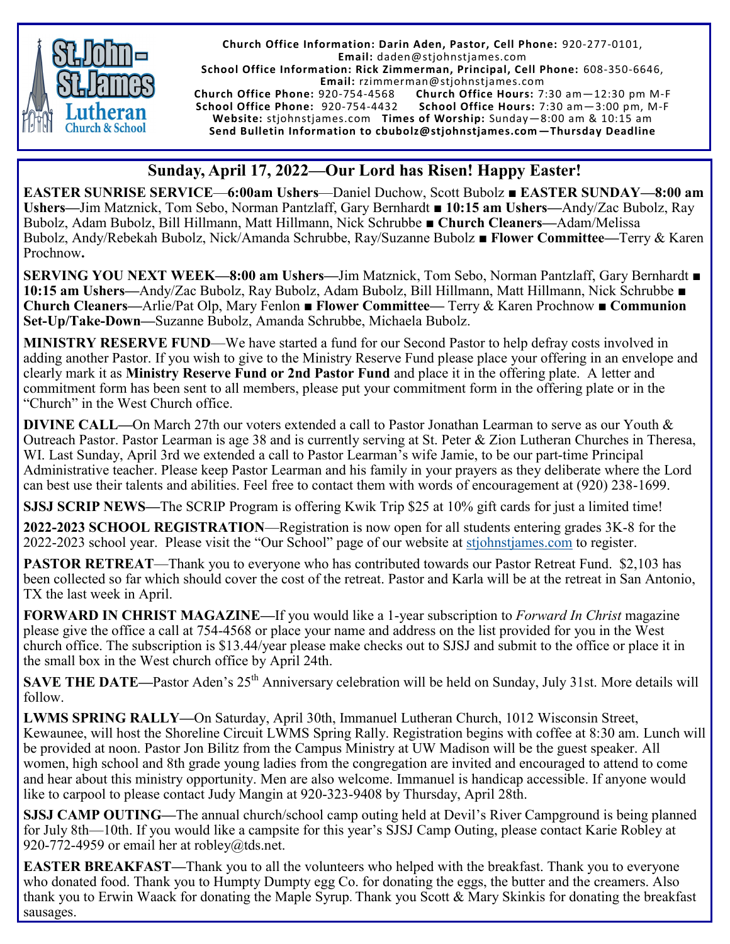

**Church Office Information: Darin Aden, Pastor, Cell Phone:** 920-277-0101, **Email:** daden@stjohnstjames.com

**School Office Information: Rick Zimmerman, Principal, Cell Phone:** 608-350-6646,

**Email:** rzimmerman@stjohnstjames.com **Church Office Hours: 7:30 am-12:30 pm M-F School Office Phone:** 920-754-4432 **School Office Hours:** 7:30 am—3:00 pm, M-F **Website:** stjohnstjames.com **Times of Worship:** Sunday—8:00 am & 10:15 am **Send Bulletin Information to cbubolz@stjohnstjames.com—Thursday Deadline**

## **Sunday, April 17, 2022—Our Lord has Risen! Happy Easter!**

**EASTER SUNRISE SERVICE**—**6:00am Ushers**—Daniel Duchow, Scott Bubolz **■ EASTER SUNDAY—8:00 am Ushers—**Jim Matznick, Tom Sebo, Norman Pantzlaff, Gary Bernhardt ■ **10:15 am Ushers—**Andy/Zac Bubolz, Ray Bubolz, Adam Bubolz, Bill Hillmann, Matt Hillmann, Nick Schrubbe **■ Church Cleaners—**Adam/Melissa Bubolz, Andy/Rebekah Bubolz, Nick/Amanda Schrubbe, Ray/Suzanne Bubolz ■ **Flower Committee—**Terry & Karen Prochnow**.**

**SERVING YOU NEXT WEEK—8:00 am Ushers—**Jim Matznick, Tom Sebo, Norman Pantzlaff, Gary Bernhardt ■ **10:15 am Ushers—**Andy/Zac Bubolz, Ray Bubolz, Adam Bubolz, Bill Hillmann, Matt Hillmann, Nick Schrubbe **■ Church Cleaners—**Arlie/Pat Olp, Mary Fenlon ■ **Flower Committee—** Terry & Karen Prochnow **■ Communion Set-Up/Take-Down—**Suzanne Bubolz, Amanda Schrubbe, Michaela Bubolz.

**MINISTRY RESERVE FUND**—We have started a fund for our Second Pastor to help defray costs involved in adding another Pastor. If you wish to give to the Ministry Reserve Fund please place your offering in an envelope and clearly mark it as **Ministry Reserve Fund or 2nd Pastor Fund** and place it in the offering plate. A letter and commitment form has been sent to all members, please put your commitment form in the offering plate or in the "Church" in the West Church office.

**DIVINE CALL—**On March 27th our voters extended a call to Pastor Jonathan Learman to serve as our Youth & Outreach Pastor. Pastor Learman is age 38 and is currently serving at St. Peter & Zion Lutheran Churches in Theresa, WI. Last Sunday, April 3rd we extended a call to Pastor Learman's wife Jamie, to be our part-time Principal Administrative teacher. Please keep Pastor Learman and his family in your prayers as they deliberate where the Lord can best use their talents and abilities. Feel free to contact them with words of encouragement at (920) 238-1699.

**SJSJ SCRIP NEWS—**The SCRIP Program is offering Kwik Trip \$25 at 10% gift cards for just a limited time!

**2022-2023 SCHOOL REGISTRATION**—Registration is now open for all students entering grades 3K-8 for the 2022-2023 school year. Please visit the "Our School" page of our website at [stjohnstjames.com](http://www.stjohnstjames.com) to register.

**PASTOR RETREAT**—Thank you to everyone who has contributed towards our Pastor Retreat Fund. \$2,103 has been collected so far which should cover the cost of the retreat. Pastor and Karla will be at the retreat in San Antonio, TX the last week in April.

**FORWARD IN CHRIST MAGAZINE—**If you would like a 1-year subscription to *Forward In Christ* magazine please give the office a call at 754-4568 or place your name and address on the list provided for you in the West church office. The subscription is \$13.44/year please make checks out to SJSJ and submit to the office or place it in the small box in the West church office by April 24th.

**SAVE THE DATE—Pastor Aden's 25<sup>th</sup> Anniversary celebration will be held on Sunday, July 31st. More details will** follow.

**LWMS SPRING RALLY—**On Saturday, April 30th, Immanuel Lutheran Church, 1012 Wisconsin Street, Kewaunee, will host the Shoreline Circuit LWMS Spring Rally. Registration begins with coffee at 8:30 am. Lunch will be provided at noon. Pastor Jon Bilitz from the Campus Ministry at UW Madison will be the guest speaker. All women, high school and 8th grade young ladies from the congregation are invited and encouraged to attend to come and hear about this ministry opportunity. Men are also welcome. Immanuel is handicap accessible. If anyone would like to carpool to please contact Judy Mangin at 920-323-9408 by Thursday, April 28th.

**SJSJ CAMP OUTING—**The annual church/school camp outing held at Devil's River Campground is being planned for July 8th—10th. If you would like a campsite for this year's SJSJ Camp Outing, please contact Karie Robley at 920-772-4959 or email her at robley@tds.net.

**EASTER BREAKFAST—**Thank you to all the volunteers who helped with the breakfast. Thank you to everyone who donated food. Thank you to Humpty Dumpty egg Co. for donating the eggs, the butter and the creamers. Also thank you to Erwin Waack for donating the Maple Syrup. Thank you Scott & Mary Skinkis for donating the breakfast sausages.